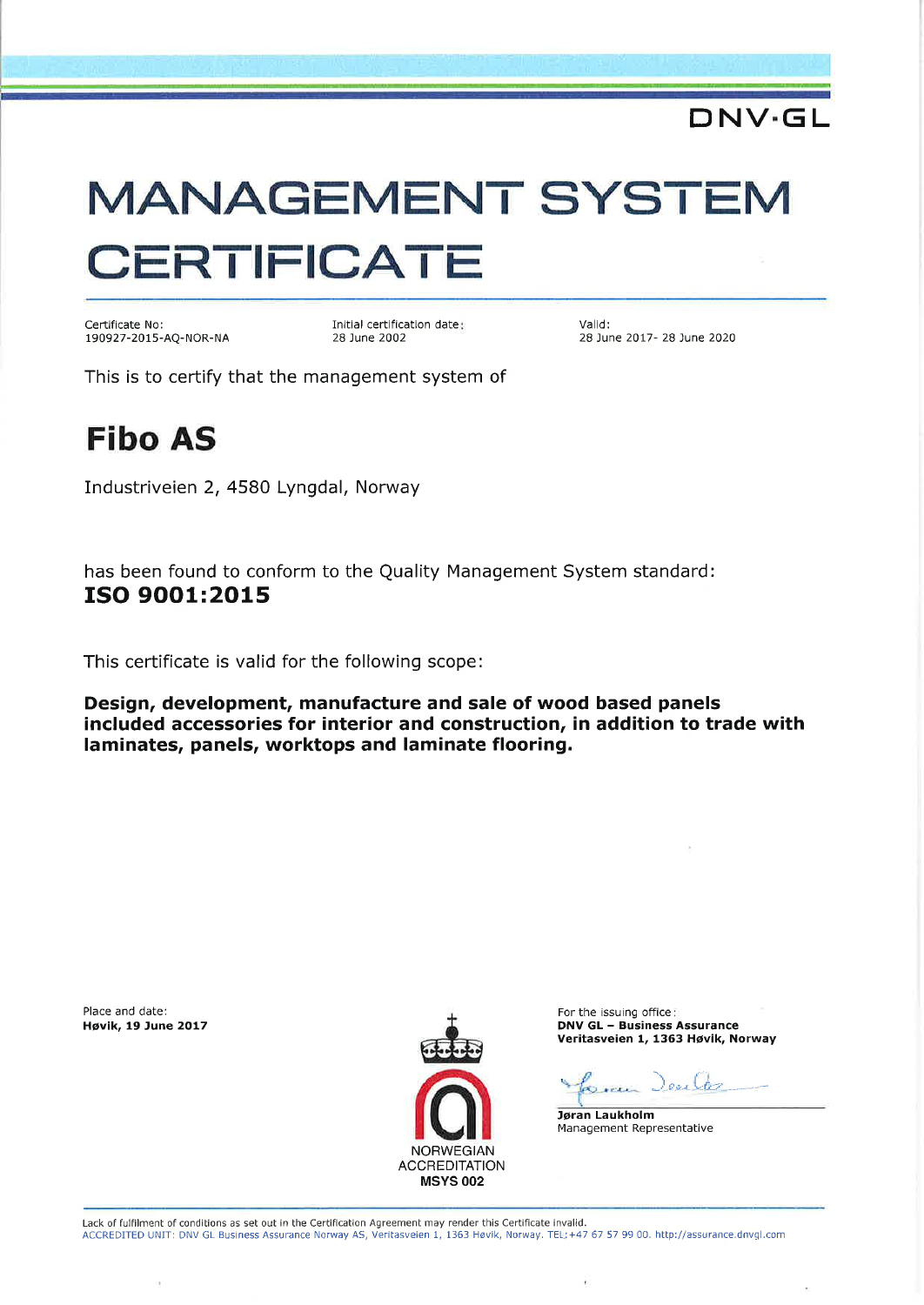

# **MANAGEMENT SYSTEM CERTIFICATE**

Certificate No: 190927-2015-AQ-NOR-NA Initial certification date: 28 June 2002

Valid: 28 June 2017- 28 June 2020

This is to certify that the management system of

# **Fibo AS**

Industriveien 2, 4580 Lyngdal, Norway

has been found to conform to the Quality Management System standard: ISO 9001:2015

This certificate is valid for the following scope:

Design, development, manufacture and sale of wood based panels included accessories for interior and construction, in addition to trade with laminates, panels, worktops and laminate flooring.

Place and date: **Høvik, 19 June 2017** 



For the issuing office: **DNV GL - Business Assurance** Veritasveien 1, 1363 Høvik, Norway

Louis Denla

Jøran Laukholm Management Representative

 $\overline{L}$ 

Lack of fulfilment of conditions as set out in the Certification Agreement may render this Certificate invalid.

ACCREDITED UNIT: DNV GL Business Assurance Norway AS, Veritasveien 1, 1363 Høvik, Norway. TEL:+47 67 57 99 00. http://assurance.dnvgl.com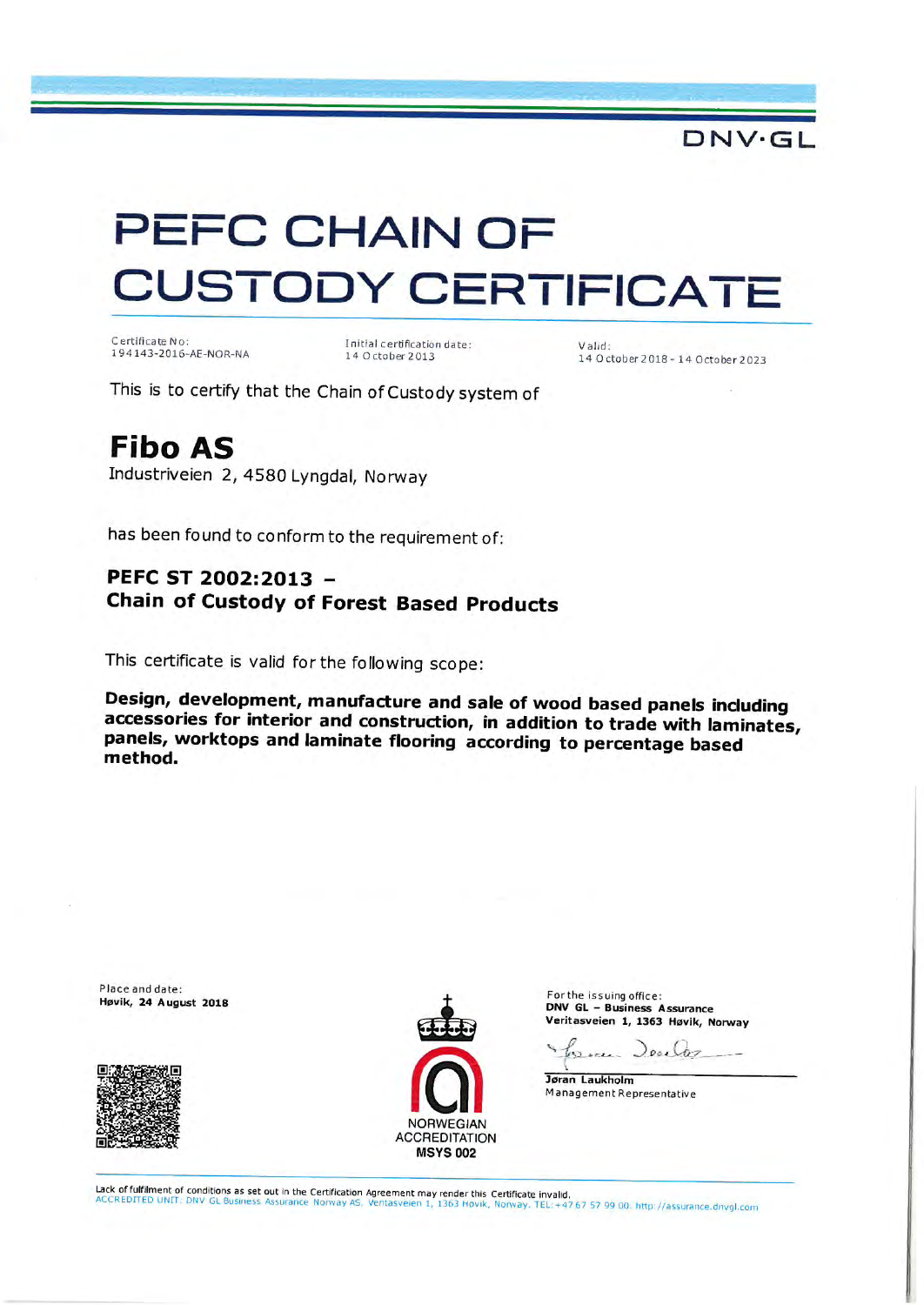

# PEFC CHAIN OF **CUSTODY CERTIFICATE**

Certificate No: 194143-2016-AE-NOR-NA Initial certification date: 14 October 2013

Valid: 14 October 2018 - 14 October 2023

This is to certify that the Chain of Custody system of

# **Fibo AS**

Industriveien 2, 4580 Lyngdal, Norway

has been found to conform to the requirement of:

# PEFC ST 2002:2013 -Chain of Custody of Forest Based Products

This certificate is valid for the following scope:

Design, development, manufacture and sale of wood based panels including accessories for interior and construction, in addition to trade with laminates, panels, worktops and laminate flooring according to percentage based method.

Place and date: Høvik, 24 August 2018





For the issuing office: DNV GL - Business Assurance<br>Veritasveien 1, 1363 Høvik, Norway

James Decider

Jøran Laukholm Management Representative

Lack of fulfilment of conditions as set out in the Certification Agreement may render this Certificate invalid.<br>ACCREDITED UNIT: DNV GL Business Assurance Norway AS, Ventasveien 1, 1363 Hovik, Norway. TEL:+47.67.57.99.00.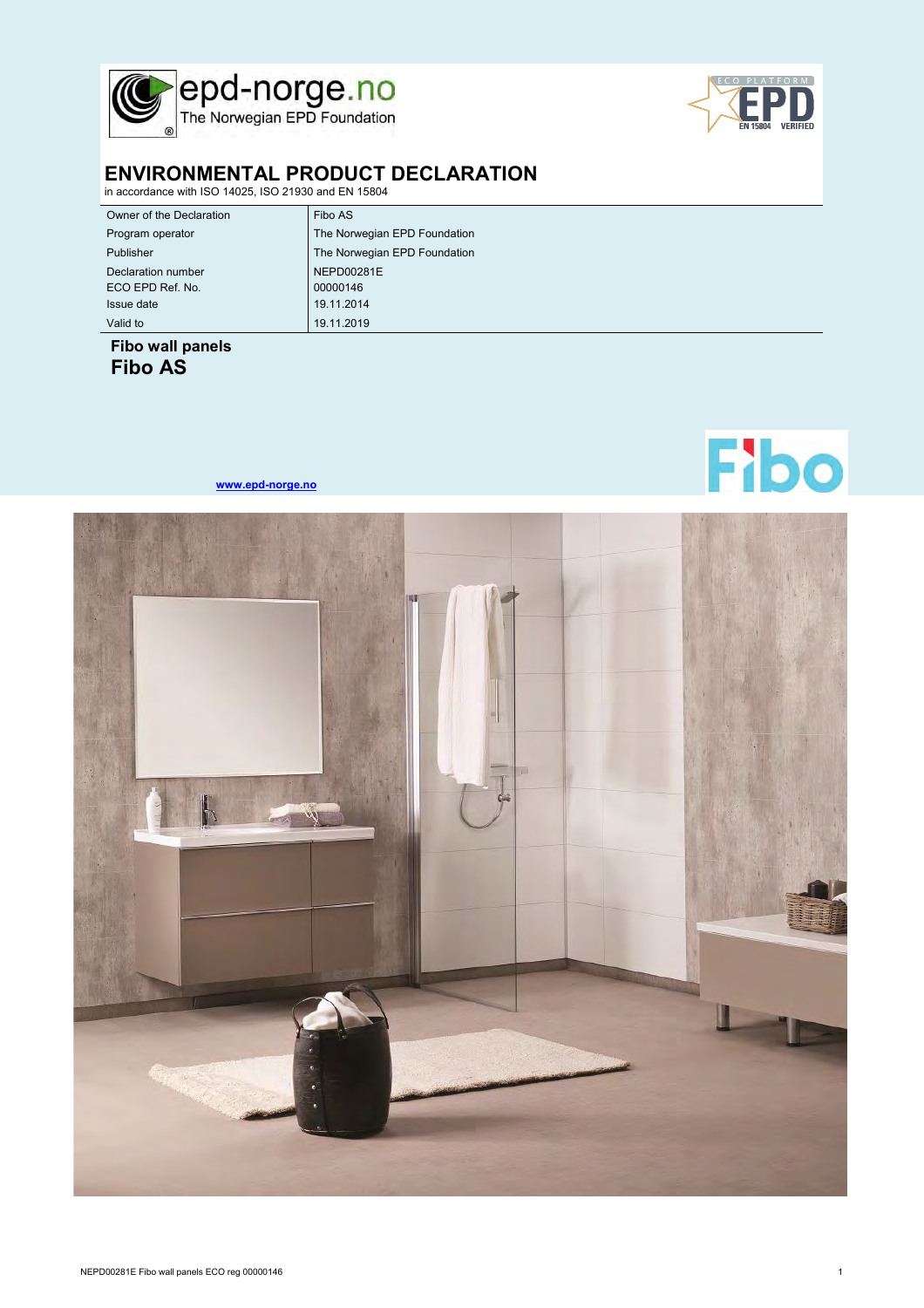



# **ENVIRONMENTAL PRODUCT DECLARATION**

in accordance with ISO 14025, ISO 21930 and EN 15804

| Owner of the Declaration | Fibo AS                      |
|--------------------------|------------------------------|
| Program operator         | The Norwegian EPD Foundation |
| Publisher                | The Norwegian EPD Foundation |
| Declaration number       | <b>NEPD00281E</b>            |
| ECO EPD Ref. No.         | 00000146                     |
| Issue date               | 19.11.2014                   |
| Valid to                 | 19.11.2019                   |

**Fibo wall panels Fibo AS**



**[www.epd-norge.no](http://www.epd-norge.no/)**



NEPD00281E Fibo wall panels ECO reg 00000146 1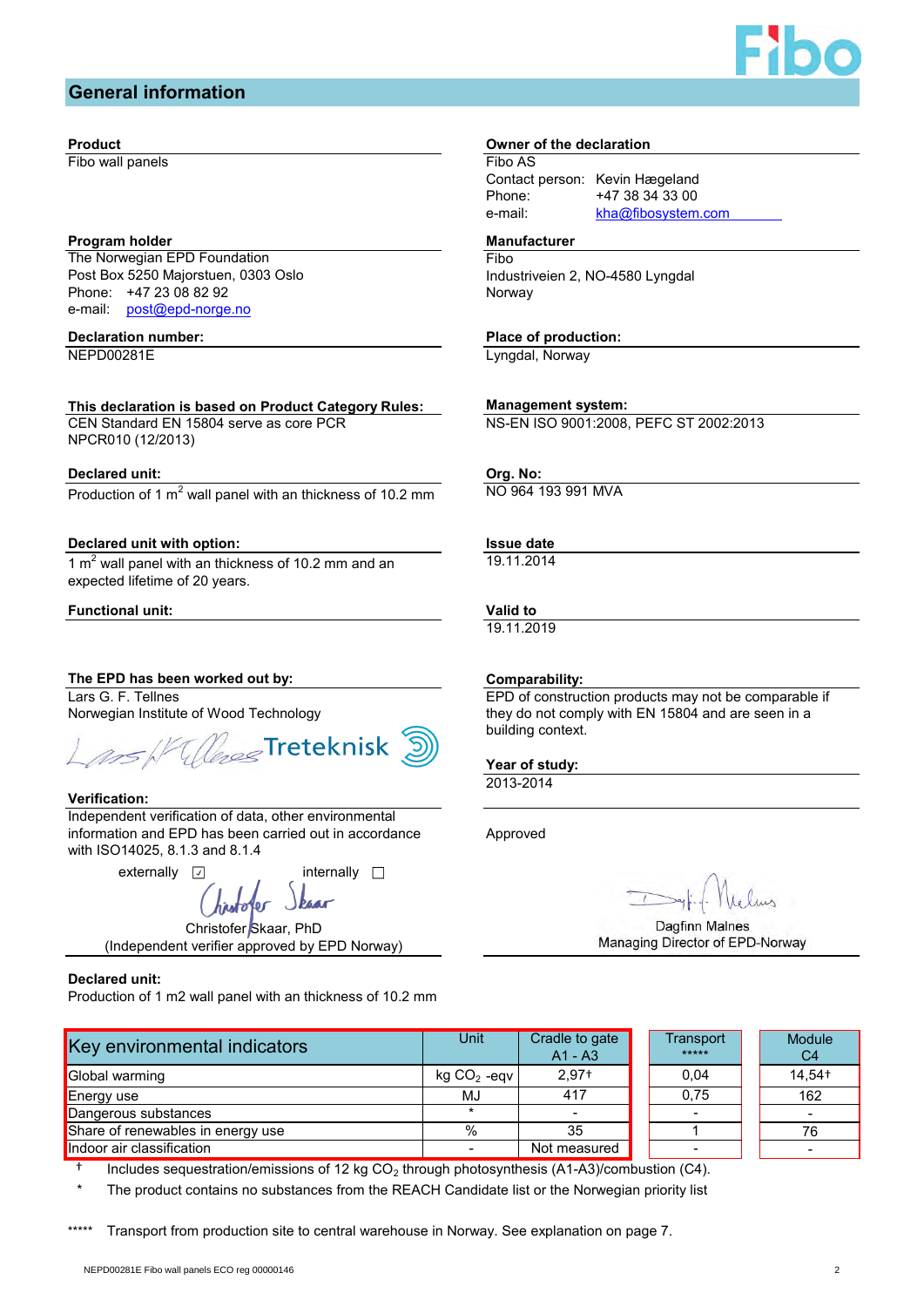# **General information**

Fibo wall panels

# **Program holder Manufacturer Manufacturer**

Phone: +47 23 08 82 92 Norway e-mail: [post@epd-norge.no](mailto:post@epd-norge.no) Post Box 5250 Majorstuen, 0303 Oslo The Norwegian EPD Foundation

NEPD00281E

# **This declaration is based on Product Category Rules:**

CEN Standard EN 15804 serve as core PCR NPCR010 (12/2013)

### **Declared unit: Org. No:**

Production of 1  $m^2$  wall panel with an thickness of 10.2 mm

# **Declared unit with option: ISSUE 2018 ISSUE date**

1  $m<sup>2</sup>$  wall panel with an thickness of 10.2 mm and an expected lifetime of 20 years.

# **Functional unit: Valid to**

# **The EPD has been worked out by:**

Lars G. F. Tellnes Norwegian Institute of Wood Technology



### **Verification:**

Independent verification of data, other environmental information and EPD has been carried out in accordance with ISO14025, 8.1.3 and 8.1.4

externally  $\boxed{\phantom{1}}$ 

internally  $\square$ 

Christofer Skaar, PhD

(Independent verifier approved by EPD Norway)

# **Declared unit:**

Production of 1 m2 wall panel with an thickness of 10.2 mm

# **Product Owner of the declaration**

Fibo AS Contact person: Kevin Hægeland Phone: e-mail: +47 38 34 33 00 kha@[fibosystem](mailto:kha@fibosystem.com).com

Fibo Industriveien 2, NO-4580 Lyngdal

# **Declaration number: Place of production:**

Lyngdal, Norway

# **Management system:**

NS-EN ISO 9001:2008, PEFC ST 2002:2013

NO 964 193 991 MVA

19.11.2014

19.11.2019

### **Comparability:**

EPD of construction products may not be comparable if they do not comply with EN 15804 and are seen in a building context.

# **Year of study:**

2013-2014

Approved

Dagfinn Malnes Managing Director of EPD-Norway

| Key environmental indicators      | Unit          | Cradle to gate<br>$A1 - A3$ | <b>Transport</b><br>***** | <b>Module</b><br>C <sub>4</sub> |
|-----------------------------------|---------------|-----------------------------|---------------------------|---------------------------------|
| Global warming                    | $kg CO2 -eqv$ | $2.97+$                     | 0,04                      | 14.54+                          |
| <b>Energy use</b>                 | MJ            | 417                         | 0,75                      | 162                             |
| Dangerous substances              |               | $\overline{\phantom{0}}$    |                           |                                 |
| Share of renewables in energy use | $\%$          | 35                          |                           | 76                              |
| Indoor air classification         |               | Not measured                |                           |                                 |

<sup>†</sup> Includes sequestration/emissions of 12 kg CO<sub>2</sub> through photosynthesis (A1-A3)/combustion (C4).

\* The product contains no substances from the REACH Candidate list or the Norwegian priority list

\*\*\*\*\* Transport from production site to central warehouse in Norway. See explanation on page 7.

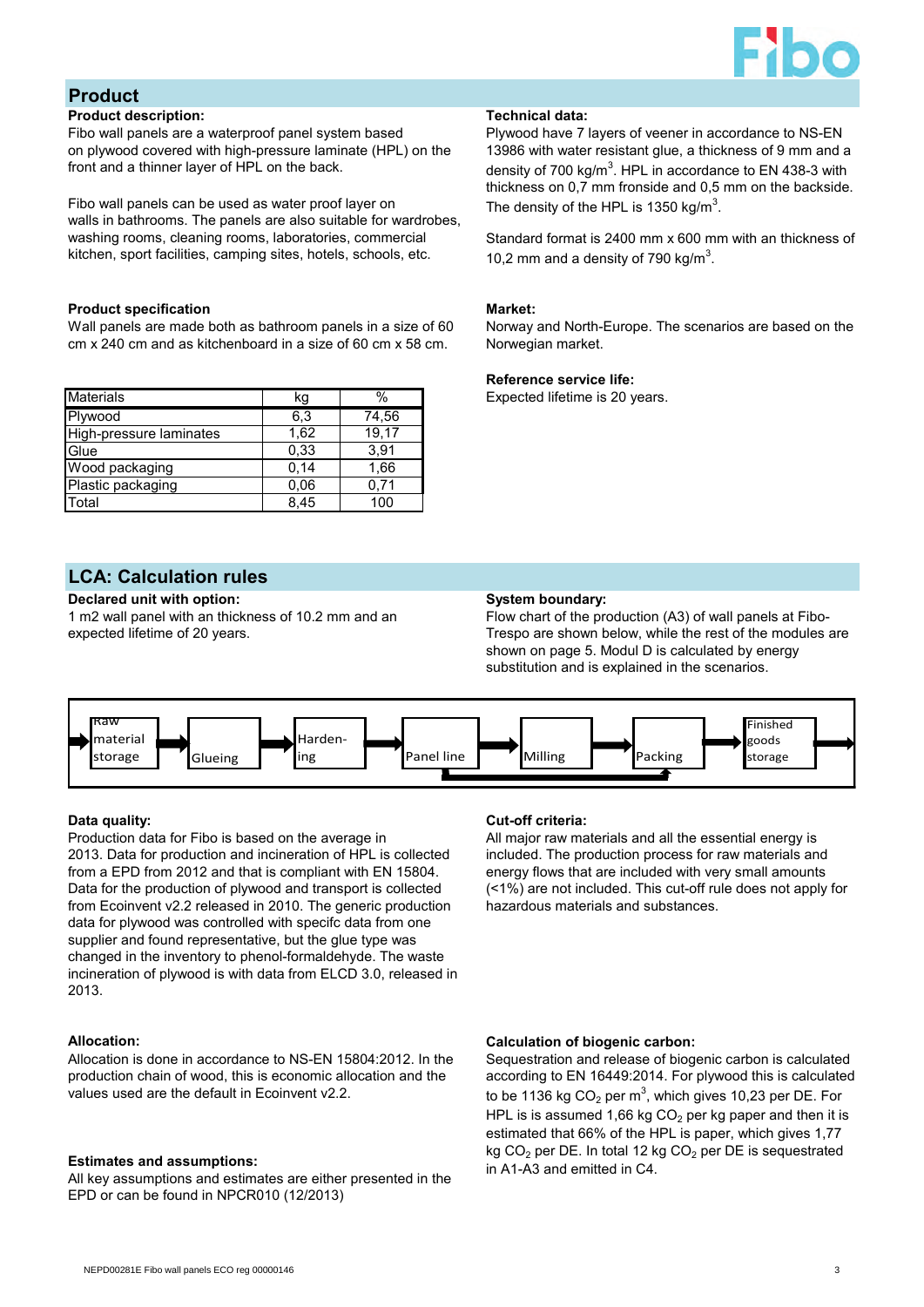

# **Product**

# **Product description:**

Fibo wall panels are a waterproof panel system based on plywood covered with high-pressure laminate (HPL) on the front and a thinner layer of HPL on the back.

Fibo wall panels can be used as water proof layer on walls in bathrooms. The panels are also suitable for wardrobes, washing rooms, cleaning rooms, laboratories, commercial kitchen, sport facilities, camping sites, hotels, schools, etc.

# **Product specification Market:**

Wall panels are made both as bathroom panels in a size of 60 cm x 240 cm and as kitchenboard in a size of 60 cm x 58 cm.

| <b>Materials</b>        | kg   | $\%$  |
|-------------------------|------|-------|
| Plywood                 | 6,3  | 74,56 |
| High-pressure laminates | 1,62 | 19,17 |
| Glue                    | 0,33 | 3,91  |
| Wood packaging          | 0,14 | 1,66  |
| Plastic packaging       | 0,06 | 0,71  |
| Total                   | 8,45 | 100   |

# **Technical data:**

Plywood have 7 layers of veener in accordance to NS-EN 13986 with water resistant glue, a thickness of 9 mm and a density of 700 kg/m<sup>3</sup>. HPL in accordance to EN 438-3 with thickness on 0,7 mm fronside and 0,5 mm on the backside. The density of the HPL is 1350 kg/m $^3$ .

Standard format is 2400 mm x 600 mm with an thickness of 10,2 mm and a density of 790 kg/m<sup>3</sup>.

Norway and North-Europe. The scenarios are based on the Norwegian market.

# **Reference service life:**

Expected lifetime is 20 years.

# **LCA: Calculation rules**

# **Declared unit with option: System boundary: System boundary:**

1 m2 wall panel with an thickness of 10.2 mm and an expected lifetime of 20 years.

Flow chart of the production (A3) of wall panels at Fibo-Trespo are shown below, while the rest of the modules are shown on page 5. Modul D is calculated by energy substitution and is explained in the scenarios.



Production data for Fibo is based on the average in 2013. Data for production and incineration of HPL is collected from a EPD from 2012 and that is compliant with EN 15804. Data for the production of plywood and transport is collected from Ecoinvent v2.2 released in 2010. The generic production data for plywood was controlled with specifc data from one supplier and found representative, but the glue type was changed in the inventory to phenol-formaldehyde. The waste incineration of plywood is with data from ELCD 3.0, released in 2013.

Allocation is done in accordance to NS-EN 15804:2012. In the production chain of wood, this is economic allocation and the values used are the default in Ecoinvent v2.2.

# **Estimates and assumptions:**

All key assumptions and estimates are either presented in the EPD or can be found in NPCR010 (12/2013)

# **Data quality: Cut-off criteria:**

All major raw materials and all the essential energy is included. The production process for raw materials and energy flows that are included with very small amounts (<1%) are not included. This cut-off rule does not apply for hazardous materials and substances.

# **Allocation: Calculation of biogenic carbon:**

Sequestration and release of biogenic carbon is calculated according to EN 16449:2014. For plywood this is calculated to be 1136 kg CO $_2$  per m $^3$ , which gives 10,23 per DE. For HPL is is assumed 1,66 kg CO<sub>2</sub> per kg paper and then it is estimated that 66% of the HPL is paper, which gives 1,77 kg CO<sub>2</sub> per DE. In total 12 kg CO<sub>2</sub> per DE is sequestrated in A1-A3 and emitted in C4.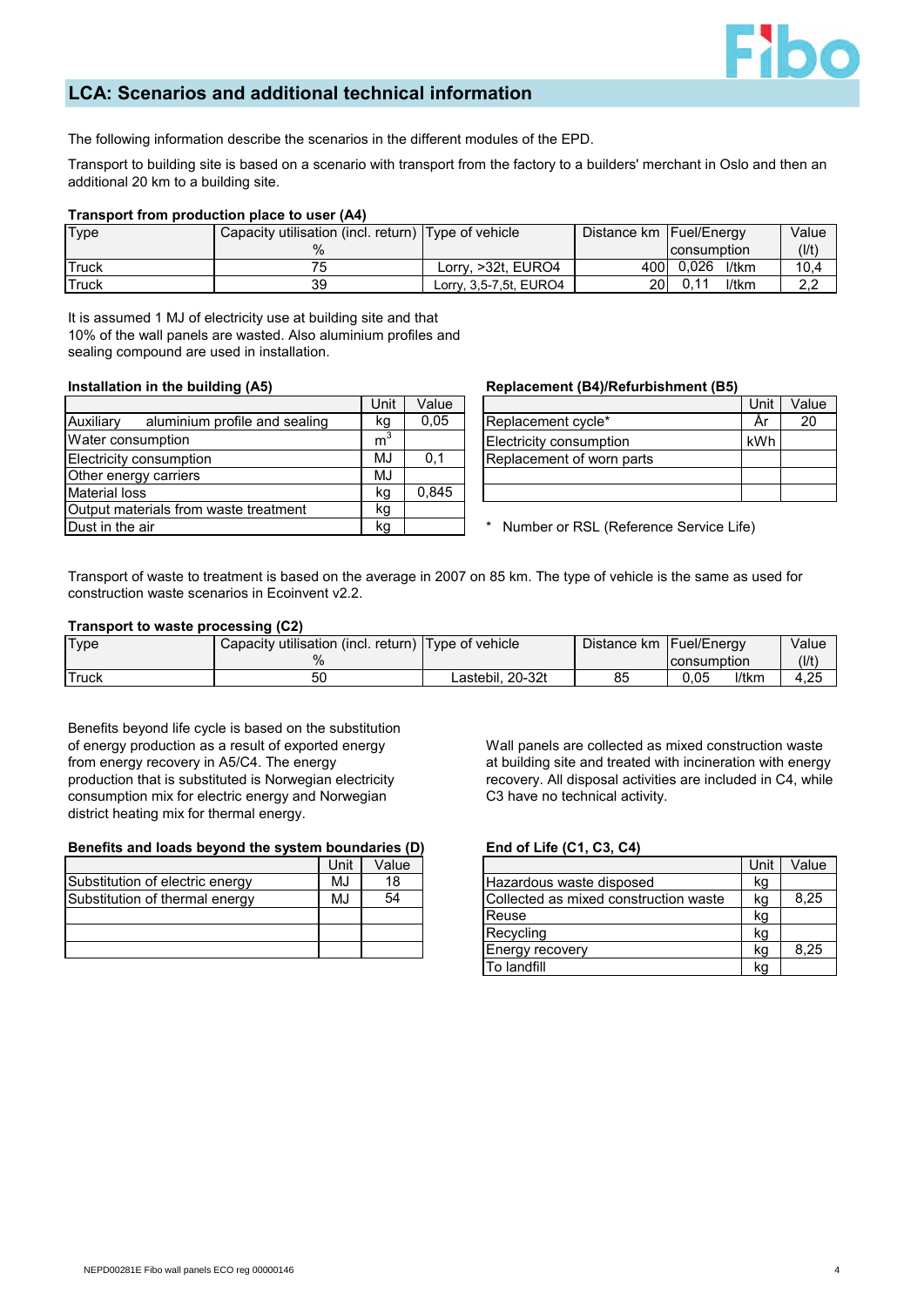

# **LCA: Scenarios and additional technical information**

The following information describe the scenarios in the different modules of the EPD.

Transport to building site is based on a scenario with transport from the factory to a builders' merchant in Oslo and then an additional 20 km to a building site.

# **Transport from production place to user (A4)**

| Type  | Capacity utilisation (incl. return) Type of vehicle |                        | Distance km   Fuel/Energy |                    | Value |
|-------|-----------------------------------------------------|------------------------|---------------------------|--------------------|-------|
|       |                                                     |                        |                           | <b>Consumption</b> | (1/t) |
| Truck |                                                     | Lorry, >32t, EURO4     |                           | 400 0,026<br>l/tkm | 10,4  |
| Truck | 39                                                  | Lorry, 3,5-7,5t, EURO4 | 20 l                      | 0,11<br>l/tkm      | າ າ   |

It is assumed 1 MJ of electricity use at building site and that 10% of the wall panels are wasted. Also aluminium profiles and sealing compound are used in installation.

|                                            | Unit           | Value |                                |
|--------------------------------------------|----------------|-------|--------------------------------|
| Auxiliary<br>aluminium profile and sealing | kg             | 0,05  | Replacement cycle*             |
| <b>Water consumption</b>                   | m <sup>3</sup> |       | <b>Electricity consumption</b> |
| Electricity consumption                    | MJ             | 0,1   | Replacement of worn parts      |
| Other energy carriers                      | MJ             |       |                                |
| <b>Material loss</b>                       | kg             | 0,845 |                                |
| Output materials from waste treatment      | kg             |       |                                |
| Dust in the air                            | kg             |       | * Number or RSL (Referer       |

# Installation in the building (A5) **Replacement (B4)/Refurbishment (B5)**

|                           |     | √alue |
|---------------------------|-----|-------|
| Replacement cycle*        |     |       |
| Electricity consumption   | kWh |       |
| Replacement of worn parts |     |       |
|                           |     |       |
|                           |     |       |

\* Number or RSL (Reference Service Life)

Transport of waste to treatment is based on the average in 2007 on 85 km. The type of vehicle is the same as used for construction waste scenarios in Ecoinvent v2.2.

# **Transport to waste processing (C2)**

| Type         | .y utilisation (incl. return) Type of vehicle<br>Capacity ' |                       | Distance km | Fuel/Energy   | Value   |
|--------------|-------------------------------------------------------------|-----------------------|-------------|---------------|---------|
|              | $\%$                                                        |                       |             | Iconsumption  | $($ //t |
| <b>Truck</b> | 50                                                          | $20-32t$<br>Lastebil, | 85          | 0,05<br>l/tkm | 4,25    |

Benefits beyond life cycle is based on the substitution of energy production as a result of exported energy from energy recovery in A5/C4. The energy production that is substituted is Norwegian electricity consumption mix for electric energy and Norwegian district heating mix for thermal energy.

# **Benefits and loads beyond the system boundaries (D) End of Life (C1, C3, C4)**

|                                 | Unit | Value |
|---------------------------------|------|-------|
| Substitution of electric energy | MJ   | 18    |
| Substitution of thermal energy  | MJ   | 54    |
|                                 |      |       |
|                                 |      |       |
|                                 |      |       |

Wall panels are collected as mixed construction waste at building site and treated with incineration with energy recovery. All disposal activities are included in C4, while C3 have no technical activity.

|                                       | Unit | Value |
|---------------------------------------|------|-------|
| Hazardous waste disposed              | kg   |       |
| Collected as mixed construction waste | kg   | 8,25  |
| <b>Reuse</b>                          | kg   |       |
| Recycling                             | kg   |       |
| <b>Energy recovery</b>                | kq   | 8,25  |
| <b>To landfill</b>                    |      |       |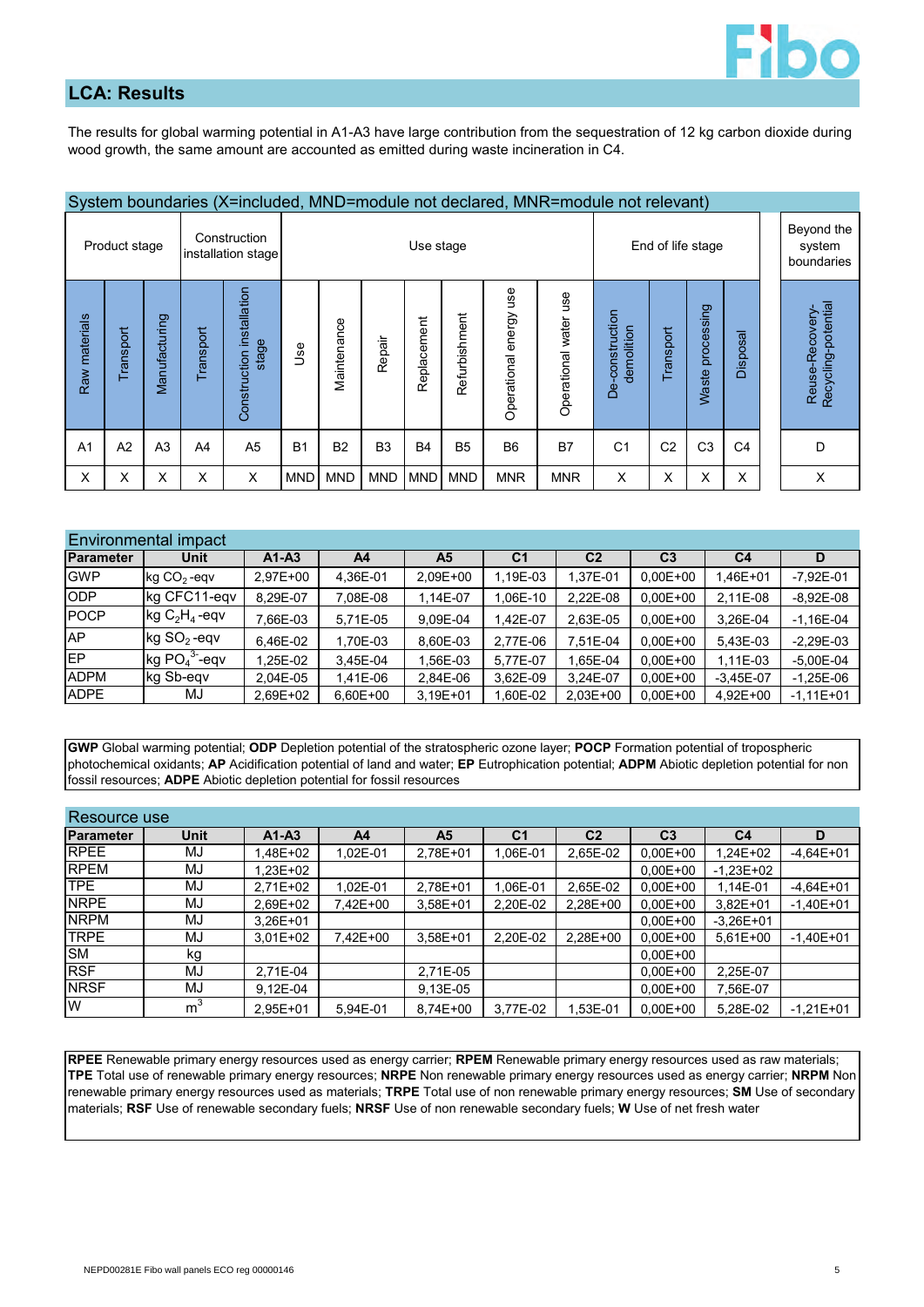

# **LCA: Results**

The results for global warming potential in A1-A3 have large contribution from the sequestration of 12 kg carbon dioxide during wood growth, the same amount are accounted as emitted during waste incineration in C4.

|                                                     | System boundaries (X=included, MND=module not declared, MNR=module not relevant) |               |           |                                       |                                |             |                |             |                |                           |                          |                               |                |                                    |                |                                       |
|-----------------------------------------------------|----------------------------------------------------------------------------------|---------------|-----------|---------------------------------------|--------------------------------|-------------|----------------|-------------|----------------|---------------------------|--------------------------|-------------------------------|----------------|------------------------------------|----------------|---------------------------------------|
| Construction<br>Product stage<br>installation stage |                                                                                  |               |           |                                       | End of life stage<br>Use stage |             |                |             |                |                           |                          |                               |                | Beyond the<br>system<br>boundaries |                |                                       |
| Raw materials                                       | Transport                                                                        | Manufacturing | Transport | installation<br>stage<br>Construction | Use                            | Maintenance | Repair         | Replacement | Refurbishment  | use<br>Operational energy | use<br>Operational water | De-construction<br>demolition | Transport      | processing<br>Waste                | Disposal       | Recycling-potential<br>Reuse-Recovery |
| A <sub>1</sub>                                      | A2                                                                               | A3            | A4        | A <sub>5</sub>                        | B <sub>1</sub>                 | <b>B2</b>   | B <sub>3</sub> | <b>B4</b>   | B <sub>5</sub> | B <sub>6</sub>            | <b>B7</b>                | C <sub>1</sub>                | C <sub>2</sub> | C <sub>3</sub>                     | C <sub>4</sub> | D                                     |
| X                                                   | X                                                                                | X             | X         | $\pmb{\times}$                        | <b>MND</b>                     | <b>MND</b>  | <b>MND</b>     | <b>MND</b>  | <b>MND</b>     | <b>MNR</b>                | <b>MNR</b>               | X                             | Χ              | Χ                                  | X              | X                                     |

|             | <b>Environmental impact</b>                                |           |          |                |                |                |                |                |             |  |  |  |  |  |  |
|-------------|------------------------------------------------------------|-----------|----------|----------------|----------------|----------------|----------------|----------------|-------------|--|--|--|--|--|--|
| Parameter   | <b>Unit</b>                                                | $A1 - A3$ | A4       | A <sub>5</sub> | C <sub>1</sub> | C <sub>2</sub> | C <sub>3</sub> | C <sub>4</sub> | D           |  |  |  |  |  |  |
| <b>GWP</b>  | $\log CO2$ -eqv                                            | 2,97E+00  | 4,36E-01 | 2,09E+00       | 1,19E-03       | 1,37E-01       | $0,00E+00$     | ,46E+01        | $-7,92E-01$ |  |  |  |  |  |  |
| <b>ODP</b>  | kg CFC11-eqv                                               | 8,29E-07  | 7,08E-08 | 1,14E-07       | 1,06E-10       | 2,22E-08       | $0,00E+00$     | 2,11E-08       | $-8,92E-08$ |  |  |  |  |  |  |
| <b>POCP</b> | $\operatorname{\sf kg}$ C <sub>2</sub> H <sub>4</sub> -eqv | 7,66E-03  | 5,71E-05 | 9,09E-04       | 1,42E-07       | 2,63E-05       | $0,00E+00$     | 3,26E-04       | $-1,16E-04$ |  |  |  |  |  |  |
| <b>AP</b>   | $\operatorname{\sf kg}$ SO <sub>2</sub> -eqv               | 6,46E-02  | 1,70E-03 | 8,60E-03       | 2,77E-06       | 7,51E-04       | $0,00E+00$     | 5,43E-03       | $-2,29E-03$ |  |  |  |  |  |  |
| <b>EP</b>   | $\log$ PO $_4$ <sup>3-</sup> -eqv                          | ,25E-02   | 3,45E-04 | ,56E-03        | 5,77E-07       | ,65E-04        | $0,00E+00$     | 1,11E-03       | $-5,00E-04$ |  |  |  |  |  |  |
| <b>ADPM</b> | kg Sb-egv                                                  | 2,04E-05  | 1,41E-06 | 2,84E-06       | 3,62E-09       | 3,24E-07       | $0,00E+00$     | $-3,45E-07$    | $-1,25E-06$ |  |  |  |  |  |  |
| <b>ADPE</b> | MJ                                                         | 2,69E+02  | 6,60E+00 | $3,19E+01$     | $,60E-02$      | 2,03E+00       | $0,00E+00$     | 4,92E+00       | $-1,11E+01$ |  |  |  |  |  |  |

**GWP** Global warming potential; **ODP** Depletion potential of the stratospheric ozone layer; **POCP** Formation potential of tropospheric photochemical oxidants; **AP** Acidification potential of land and water; **EP** Eutrophication potential; **ADPM** Abiotic depletion potential for non fossil resources; **ADPE** Abiotic depletion potential for fossil resources

|             | Resource use   |            |                |          |                |                |                |                |             |  |  |  |  |  |  |
|-------------|----------------|------------|----------------|----------|----------------|----------------|----------------|----------------|-------------|--|--|--|--|--|--|
| Parameter   | <b>Unit</b>    | $A1-A3$    | A <sub>4</sub> | A5       | C <sub>1</sub> | C <sub>2</sub> | C <sub>3</sub> | C <sub>4</sub> | D           |  |  |  |  |  |  |
| <b>RPEE</b> | MJ             | ,48E+02    | 1,02E-01       | 2,78E+01 | 1,06E-01       | 2,65E-02       | $0,00E+00$     | $1,24E+02$     | $-4,64E+01$ |  |  |  |  |  |  |
| <b>RPEM</b> | MJ             | $,23E+02$  |                |          |                |                | $0,00E+00$     | $-1,23E+02$    |             |  |  |  |  |  |  |
| <b>TPE</b>  | MJ             | 2,71E+02   | 1,02E-01       | 2,78E+01 | 1,06E-01       | 2,65E-02       | $0,00E+00$     | 1,14E-01       | $-4,64E+01$ |  |  |  |  |  |  |
| <b>NRPE</b> | MJ             | 2,69E+02   | 7,42E+00       | 3,58E+01 | 2,20E-02       | 2,28E+00       | $0,00E+00$     | $3,82E+01$     | $-1,40E+01$ |  |  |  |  |  |  |
| <b>NRPM</b> | MJ             | $3,26E+01$ |                |          |                |                | $0,00E+00$     | $-3,26E+01$    |             |  |  |  |  |  |  |
| <b>TRPE</b> | MJ             | $3,01E+02$ | 7,42E+00       | 3,58E+01 | 2,20E-02       | 2,28E+00       | $0,00E+00$     | $5,61E+00$     | $-1,40E+01$ |  |  |  |  |  |  |
| <b>SM</b>   | kg             |            |                |          |                |                | $0,00E+00$     |                |             |  |  |  |  |  |  |
| <b>RSF</b>  | MJ             | 2,71E-04   |                | 2,71E-05 |                |                | $0,00E+00$     | 2,25E-07       |             |  |  |  |  |  |  |
| <b>NRSF</b> | MJ             | 9,12E-04   |                | 9,13E-05 |                |                | $0,00E+00$     | 7,56E-07       |             |  |  |  |  |  |  |
| W           | m <sup>3</sup> | 2,95E+01   | 5,94E-01       | 8,74E+00 | 3,77E-02       | 1,53E-01       | $0,00E+00$     | 5,28E-02       | $-1,21E+01$ |  |  |  |  |  |  |

**RPEE** Renewable primary energy resources used as energy carrier; **RPEM** Renewable primary energy resources used as raw materials; **TPE** Total use of renewable primary energy resources; **NRPE** Non renewable primary energy resources used as energy carrier; **NRPM** Non renewable primary energy resources used as materials; **TRPE** Total use of non renewable primary energy resources; **SM** Use of secondary materials; **RSF** Use of renewable secondary fuels; **NRSF** Use of non renewable secondary fuels; **W** Use of net fresh water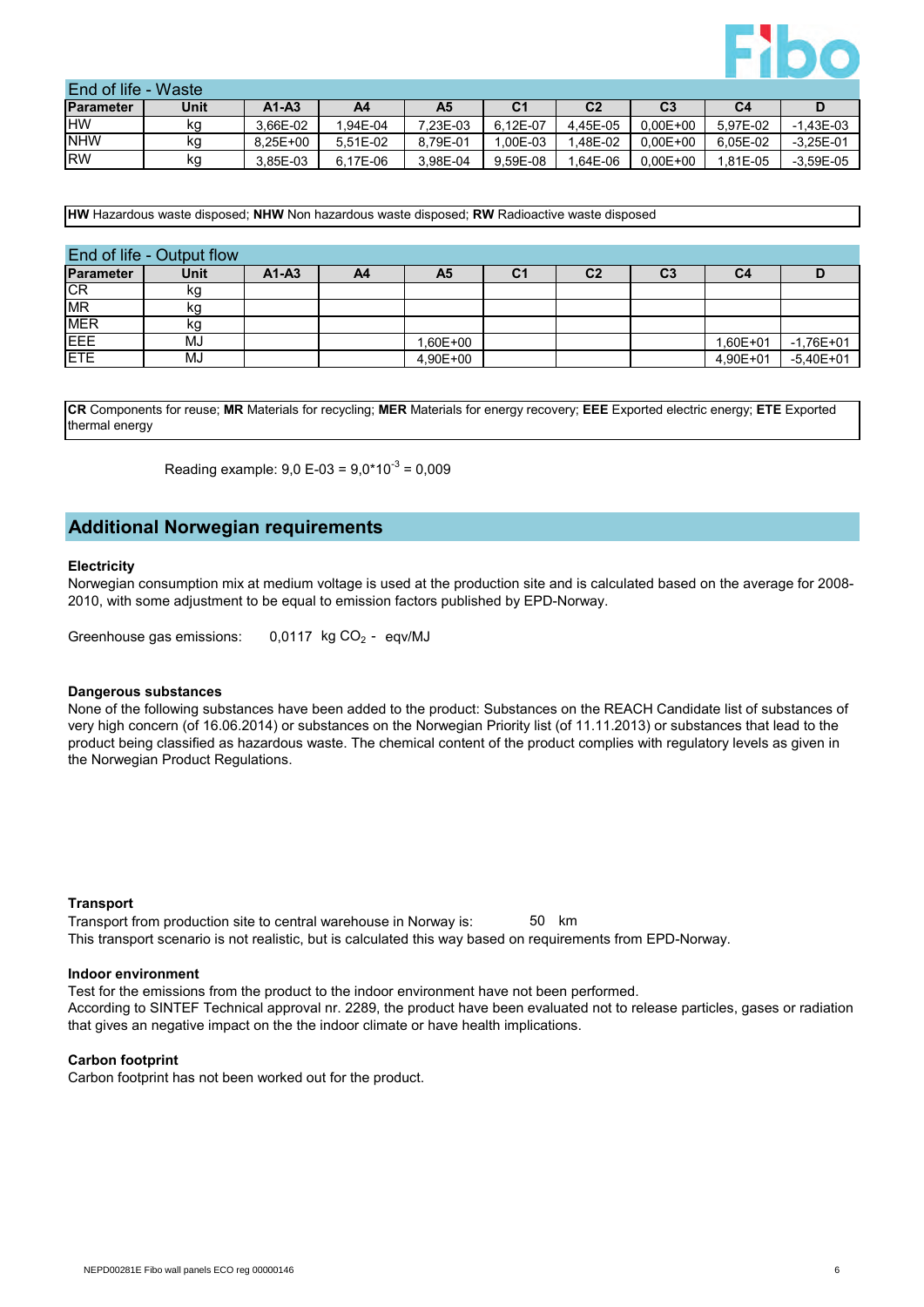

| End of life - Waste |      |            |           |          |          |                |                |          |             |
|---------------------|------|------------|-----------|----------|----------|----------------|----------------|----------|-------------|
| Parameter           | Unit | $A1-A3$    | A4        | A5       |          | C <sub>2</sub> | C <sub>3</sub> | C4       |             |
| <b>IHW</b>          | kg   | 3,66E-02   | $.94E-04$ | 7,23E-03 | 6.12E-07 | 4,45E-05       | $0.00E + 00$   | 5,97E-02 | $-1,43E-03$ |
| <b>NHW</b>          | kg   | $8,25E+00$ | 5,51E-02  | 8,79E-01 | 1,00E-03 | ,48E-02        | $0.00E + 00$   | 6,05E-02 | $-3,25E-01$ |
| <b>RW</b>           | kg   | 3,85E-03   | 6,17E-06  | 3,98E-04 | 9,59E-08 | $,64E-06$      | $0.00E + 00$   | 1,81E-05 | $-3.59E-05$ |

**HW** Hazardous waste disposed; **NHW** Non hazardous waste disposed; **RW** Radioactive waste disposed

# End of life - Output flow

| -------          |             |         |    |                |                |                |                |                |             |
|------------------|-------------|---------|----|----------------|----------------|----------------|----------------|----------------|-------------|
| <b>Parameter</b> | <b>Unit</b> | $A1-A3$ | A4 | A <sub>5</sub> | C <sub>1</sub> | C <sub>2</sub> | C <sub>3</sub> | C <sub>4</sub> |             |
| CR               | kg          |         |    |                |                |                |                |                |             |
| <b>MR</b>        | kg          |         |    |                |                |                |                |                |             |
| <b>MER</b>       | kg          |         |    |                |                |                |                |                |             |
| <b>EEE</b>       | MJ          |         |    | 1,60E+00       |                |                |                | 1,60E+01       | $-1,76E+01$ |
| <b>ETE</b>       | MJ          |         |    | 4,90E+00       |                |                |                | 4,90E+01       | $-5,40E+01$ |

**CR** Components for reuse; **MR** Materials for recycling; **MER** Materials for energy recovery; **EEE** Exported electric energy; **ETE** Exported thermal energy

Reading example:  $9.0 E-03 = 9.0*10^{-3} = 0.009$ 

# **Additional Norwegian requirements**

# **Electricity**

Norwegian consumption mix at medium voltage is used at the production site and is calculated based on the average for 2008- 2010, with some adjustment to be equal to emission factors published by EPD-Norway.

0,0117  $kg CO<sub>2</sub> - eqv/MJ$ Greenhouse gas emissions:

# **Dangerous substances**

None of the following substances have been added to the product: Substances on the REACH Candidate list of substances of very high concern (of 16.06.2014) or substances on the Norwegian Priority list (of 11.11.2013) or substances that lead to the product being classified as hazardous waste. The chemical content of the product complies with regulatory levels as given in the Norwegian Product Regulations.

### **Transport**

Transport from production site to central warehouse in Norway is: This transport scenario is not realistic, but is calculated this way based on requirements from EPD-Norway. 50 km

### **Indoor environment**

Test for the emissions from the product to the indoor environment have not been performed. According to SINTEF Technical approval nr. 2289, the product have been evaluated not to release particles, gases or radiation that gives an negative impact on the the indoor climate or have health implications.

### **Carbon footprint**

Carbon footprint has not been worked out for the product.